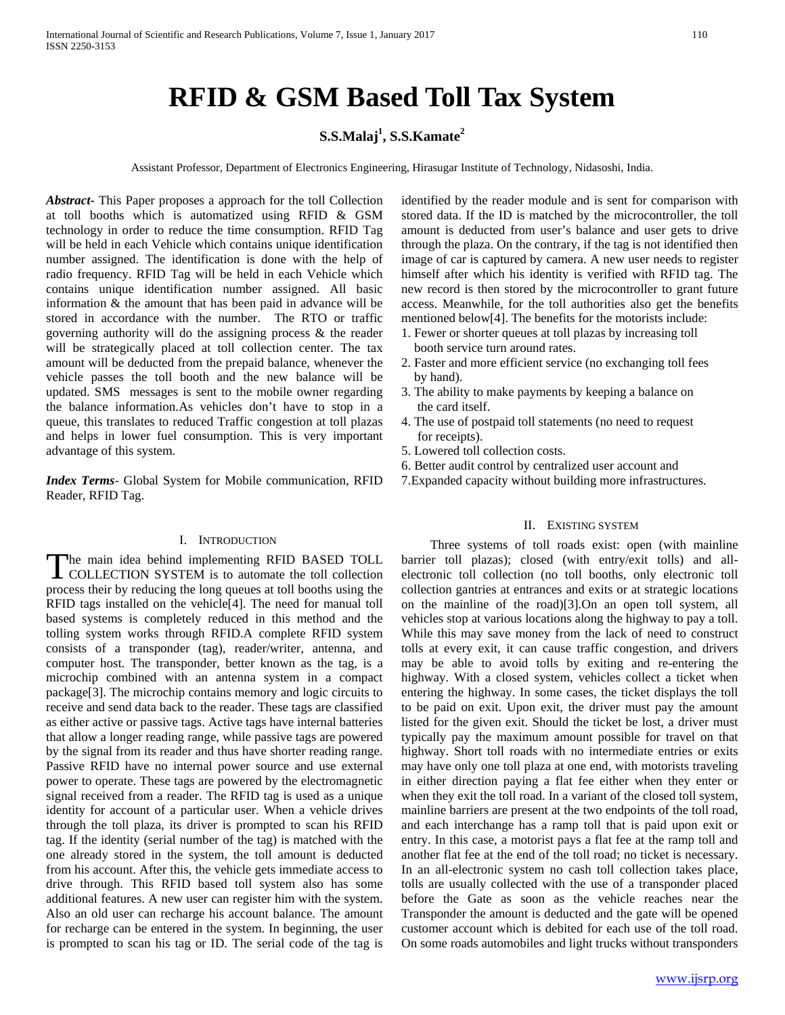# **RFID & GSM Based Toll Tax System**

# **S.S.Malaj1 , S.S.Kamate2**

Assistant Professor, Department of Electronics Engineering, Hirasugar Institute of Technology, Nidasoshi, India.

*Abstract***-** This Paper proposes a approach for the toll Collection at toll booths which is automatized using RFID & GSM technology in order to reduce the time consumption. RFID Tag will be held in each Vehicle which contains unique identification number assigned. The identification is done with the help of radio frequency. RFID Tag will be held in each Vehicle which contains unique identification number assigned. All basic information & the amount that has been paid in advance will be stored in accordance with the number. The RTO or traffic governing authority will do the assigning process & the reader will be strategically placed at toll collection center. The tax amount will be deducted from the prepaid balance, whenever the vehicle passes the toll booth and the new balance will be updated. SMS messages is sent to the mobile owner regarding the balance information.As vehicles don't have to stop in a queue, this translates to reduced Traffic congestion at toll plazas and helps in lower fuel consumption. This is very important advantage of this system.

*Index Terms*- Global System for Mobile communication, RFID Reader, RFID Tag.

#### I. INTRODUCTION

he main idea behind implementing RFID BASED TOLL The main idea behind implementing RFID BASED TOLL<br>
COLLECTION SYSTEM is to automate the toll collection process their by reducing the long queues at toll booths using the RFID tags installed on the vehicle[4]. The need for manual toll based systems is completely reduced in this method and the tolling system works through RFID.A complete RFID system consists of a transponder (tag), reader/writer, antenna, and computer host. The transponder, better known as the tag, is a microchip combined with an antenna system in a compact package[3]. The microchip contains memory and logic circuits to receive and send data back to the reader. These tags are classified as either active or passive tags. Active tags have internal batteries that allow a longer reading range, while passive tags are powered by the signal from its reader and thus have shorter reading range. Passive RFID have no internal power source and use external power to operate. These tags are powered by the electromagnetic signal received from a reader. The RFID tag is used as a unique identity for account of a particular user. When a vehicle drives through the toll plaza, its driver is prompted to scan his RFID tag. If the identity (serial number of the tag) is matched with the one already stored in the system, the toll amount is deducted from his account. After this, the vehicle gets immediate access to drive through. This RFID based toll system also has some additional features. A new user can register him with the system. Also an old user can recharge his account balance. The amount for recharge can be entered in the system. In beginning, the user is prompted to scan his tag or ID. The serial code of the tag is

identified by the reader module and is sent for comparison with stored data. If the ID is matched by the microcontroller, the toll amount is deducted from user's balance and user gets to drive through the plaza. On the contrary, if the tag is not identified then image of car is captured by camera. A new user needs to register himself after which his identity is verified with RFID tag. The new record is then stored by the microcontroller to grant future access. Meanwhile, for the toll authorities also get the benefits mentioned below[4]. The benefits for the motorists include:

- 1. Fewer or shorter queues at toll plazas by increasing toll booth service turn around rates.
- 2. Faster and more efficient service (no exchanging toll fees by hand).
- 3. The ability to make payments by keeping a balance on the card itself.
- 4. The use of postpaid toll statements (no need to request for receipts).
- 5. Lowered toll collection costs.
- 6. Better audit control by centralized user account and
- 7.Expanded capacity without building more infrastructures.

### II. EXISTING SYSTEM

 Three systems of toll roads exist: open (with mainline barrier toll plazas); closed (with entry/exit tolls) and allelectronic toll collection (no toll booths, only electronic toll collection gantries at entrances and exits or at strategic locations on the mainline of the road)[3].On an open toll system, all vehicles stop at various locations along the highway to pay a toll. While this may save money from the lack of need to construct tolls at every exit, it can cause traffic congestion, and drivers may be able to avoid tolls by exiting and re-entering the highway. With a closed system, vehicles collect a ticket when entering the highway. In some cases, the ticket displays the toll to be paid on exit. Upon exit, the driver must pay the amount listed for the given exit. Should the ticket be lost, a driver must typically pay the maximum amount possible for travel on that highway. Short toll roads with no intermediate entries or exits may have only one toll plaza at one end, with motorists traveling in either direction paying a flat fee either when they enter or when they exit the toll road. In a variant of the closed toll system, mainline barriers are present at the two endpoints of the toll road, and each interchange has a ramp toll that is paid upon exit or entry. In this case, a motorist pays a flat fee at the ramp toll and another flat fee at the end of the toll road; no ticket is necessary. In an all-electronic system no cash toll collection takes place, tolls are usually collected with the use of a transponder placed before the Gate as soon as the vehicle reaches near the Transponder the amount is deducted and the gate will be opened customer account which is debited for each use of the toll road. On some roads automobiles and light trucks without transponders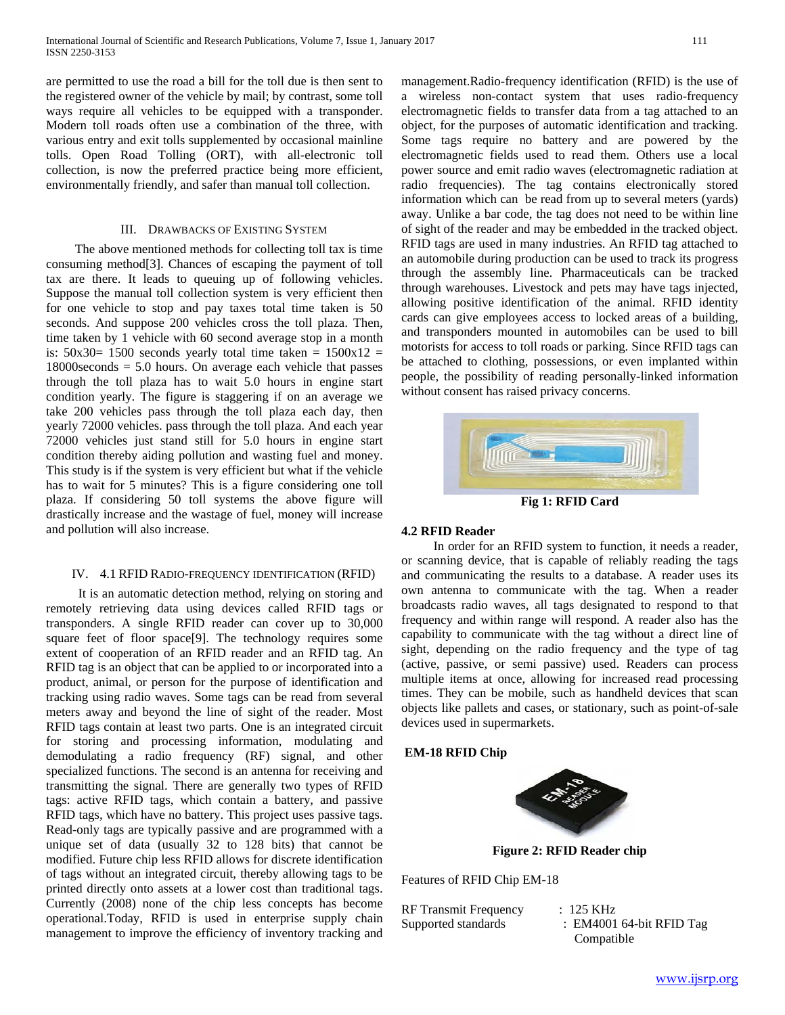are permitted to use the road a bill for the toll due is then sent to the registered owner of the vehicle by mail; by contrast, some toll ways require all vehicles to be equipped with a transponder. Modern toll roads often use a combination of the three, with various entry and exit tolls supplemented by occasional mainline tolls. Open Road Tolling (ORT), with all-electronic toll collection, is now the preferred practice being more efficient, environmentally friendly, and safer than manual toll collection.

#### III. DRAWBACKS OF EXISTING SYSTEM

 The above mentioned methods for collecting toll tax is time consuming method[3]. Chances of escaping the payment of toll tax are there. It leads to queuing up of following vehicles. Suppose the manual toll collection system is very efficient then for one vehicle to stop and pay taxes total time taken is 50 seconds. And suppose 200 vehicles cross the toll plaza. Then, time taken by 1 vehicle with 60 second average stop in a month is:  $50x30= 1500$  seconds yearly total time taken =  $1500x12 =$  $18000$  seconds = 5.0 hours. On average each vehicle that passes through the toll plaza has to wait 5.0 hours in engine start condition yearly. The figure is staggering if on an average we take 200 vehicles pass through the toll plaza each day, then yearly 72000 vehicles. pass through the toll plaza. And each year 72000 vehicles just stand still for 5.0 hours in engine start condition thereby aiding pollution and wasting fuel and money. This study is if the system is very efficient but what if the vehicle has to wait for 5 minutes? This is a figure considering one toll plaza. If considering 50 toll systems the above figure will drastically increase and the wastage of fuel, money will increase and pollution will also increase.

#### IV. 4.1 RFID RADIO-FREQUENCY IDENTIFICATION (RFID)

 It is an automatic detection method, relying on storing and remotely retrieving data using devices called RFID tags or transponders. A single RFID reader can cover up to 30,000 square feet of floor space[9]. The technology requires some extent of cooperation of an RFID reader and an RFID tag. An RFID tag is an object that can be applied to or incorporated into a product, animal, or person for the purpose of identification and tracking using radio waves. Some tags can be read from several meters away and beyond the line of sight of the reader. Most RFID tags contain at least two parts. One is an integrated circuit for storing and processing information, modulating and demodulating a radio frequency (RF) signal, and other specialized functions. The second is an antenna for receiving and transmitting the signal. There are generally two types of RFID tags: active RFID tags, which contain a battery, and passive RFID tags, which have no battery. This project uses passive tags. Read-only tags are typically passive and are programmed with a unique set of data (usually 32 to 128 bits) that cannot be modified. Future chip less RFID allows for discrete identification of tags without an integrated circuit, thereby allowing tags to be printed directly onto assets at a lower cost than traditional tags. Currently (2008) none of the chip less concepts has become operational.Today, RFID is used in enterprise supply chain management to improve the efficiency of inventory tracking and management.Radio-frequency identification (RFID) is the use of a wireless non-contact system that uses radio-frequency electromagnetic fields to transfer data from a tag attached to an object, for the purposes of automatic identification and tracking. Some tags require no battery and are powered by the electromagnetic fields used to read them. Others use a local power source and emit radio waves (electromagnetic radiation at radio frequencies). The tag contains electronically stored information which can be read from up to several meters (yards) away. Unlike a bar code, the tag does not need to be within line of sight of the reader and may be embedded in the tracked object. RFID tags are used in many industries. An RFID tag attached to an automobile during production can be used to track its progress through the assembly line. Pharmaceuticals can be tracked through warehouses. Livestock and pets may have tags injected, allowing positive identification of the animal. RFID identity cards can give employees access to locked areas of a building, and transponders mounted in automobiles can be used to bill motorists for access to toll roads or parking. Since RFID tags can be attached to clothing, possessions, or even implanted within people, the possibility of reading personally-linked information without consent has raised privacy concerns.



**Fig 1: RFID Card**

#### **4.2 RFID Reader**

 In order for an RFID system to function, it needs a reader, or scanning device, that is capable of reliably reading the tags and communicating the results to a database. A reader uses its own antenna to communicate with the tag. When a reader broadcasts radio waves, all tags designated to respond to that frequency and within range will respond. A reader also has the capability to communicate with the tag without a direct line of sight, depending on the radio frequency and the type of tag (active, passive, or semi passive) used. Readers can process multiple items at once, allowing for increased read processing times. They can be mobile, such as handheld devices that scan objects like pallets and cases, or stationary, such as point-of-sale devices used in supermarkets.

# **EM-18 RFID Chip**



**Figure 2: RFID Reader chip**

Features of RFID Chip EM-18

| RF Transmit Frequency |  |
|-----------------------|--|
| Supported standards   |  |

125 KHz EM4001 64-bit RFID Tag Compatible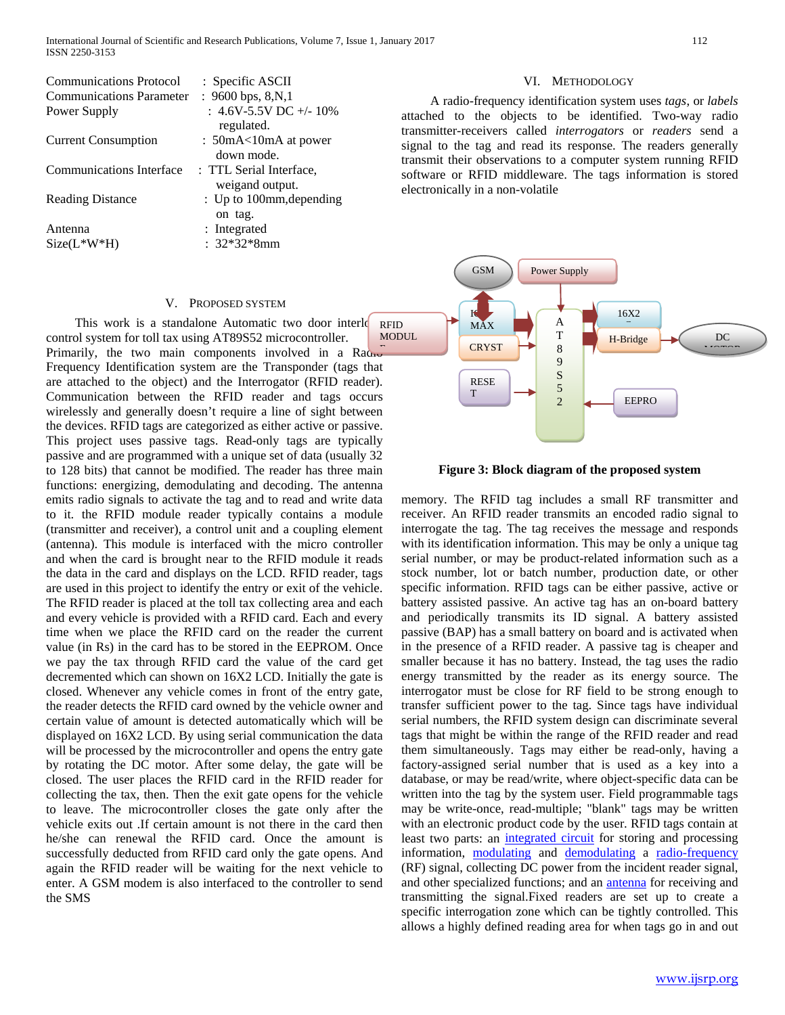| <b>Communications Protocol</b><br><b>Communications Parameter</b><br>Power Supply | : Specific ASCII<br>: $9600$ bps, $8,N,1$<br>: $4.6V - 5.5V$ DC $+/- 10\%$<br>regulated. |
|-----------------------------------------------------------------------------------|------------------------------------------------------------------------------------------|
| <b>Current Consumption</b>                                                        | $: 50mA<10mA$ at power<br>down mode.                                                     |
| <b>Communications Interface</b>                                                   | : TTL Serial Interface,<br>weigand output.                                               |
| <b>Reading Distance</b>                                                           | : Up to 100mm, depending<br>on tag.                                                      |
| Antenna<br>$Size(L*W*H)$                                                          | : Integrated<br>: $32*32*8mm$                                                            |

#### VI. METHODOLOGY

 A radio-frequency identification system uses *tags*, or *labels* attached to the objects to be identified. Two-way radio transmitter-receivers called *interrogators* or *readers* send a signal to the tag and read its response. The readers generally transmit their observations to a computer system running RFID software or RFID middleware. The tags information is stored electronically in a non-volatile

# V. PROPOSED SYSTEM

This work is a standalone Automatic two door interlock control system for toll tax using AT89S52 microcontroller. Primarily, the two main components involved in a Radio Frequency Identification system are the Transponder (tags that are attached to the object) and the Interrogator (RFID reader). Communication between the RFID reader and tags occurs wirelessly and generally doesn't require a line of sight between the devices. RFID tags are categorized as either active or passive. This project uses passive tags. Read-only tags are typically passive and are programmed with a unique set of data (usually 32 to 128 bits) that cannot be modified. The reader has three main functions: energizing, demodulating and decoding. The antenna emits radio signals to activate the tag and to read and write data to it. the RFID module reader typically contains a module (transmitter and receiver), a control unit and a coupling element (antenna). This module is interfaced with the micro controller and when the card is brought near to the RFID module it reads the data in the card and displays on the LCD. RFID reader, tags are used in this project to identify the entry or exit of the vehicle. The RFID reader is placed at the toll tax collecting area and each and every vehicle is provided with a RFID card. Each and every time when we place the RFID card on the reader the current value (in Rs) in the card has to be stored in the EEPROM. Once we pay the tax through RFID card the value of the card get decremented which can shown on 16X2 LCD. Initially the gate is closed. Whenever any vehicle comes in front of the entry gate, the reader detects the RFID card owned by the vehicle owner and certain value of amount is detected automatically which will be displayed on 16X2 LCD. By using serial communication the data will be processed by the microcontroller and opens the entry gate by rotating the DC motor. After some delay, the gate will be closed. The user places the RFID card in the RFID reader for collecting the tax, then. Then the exit gate opens for the vehicle to leave. The microcontroller closes the gate only after the vehicle exits out .If certain amount is not there in the card then he/she can renewal the RFID card. Once the amount is successfully deducted from RFID card only the gate opens. And again the RFID reader will be waiting for the next vehicle to enter. A GSM modem is also interfaced to the controller to send the SMS



**Figure 3: Block diagram of the proposed system**

memory. The RFID tag includes a small RF transmitter and receiver. An RFID reader transmits an encoded radio signal to interrogate the tag. The tag receives the message and responds with its identification information. This may be only a unique tag serial number, or may be product-related information such as a stock number, lot or batch number, production date, or other specific information. RFID tags can be either passive, active or battery assisted passive. An active tag has an on-board battery and periodically transmits its ID signal. A battery assisted passive (BAP) has a small battery on board and is activated when in the presence of a RFID reader. A passive tag is cheaper and smaller because it has no battery. Instead, the tag uses the radio energy transmitted by the reader as its energy source. The interrogator must be close for RF field to be strong enough to transfer sufficient power to the tag. Since tags have individual serial numbers, the RFID system design can discriminate several tags that might be within the range of the RFID reader and read them simultaneously. Tags may either be read-only, having a factory-assigned serial number that is used as a key into a database, or may be read/write, where object-specific data can be written into the tag by the system user. Field programmable tags may be write-once, read-multiple; "blank" tags may be written with an electronic product code by the user. RFID tags contain at least two parts: an [integrated circuit](http://en.wikipedia.org/wiki/Integrated_circuit) for storing and processing information, [modulating](http://en.wikipedia.org/wiki/Modulation) and [demodulating](http://en.wikipedia.org/wiki/Demodulation) a [radio-frequency](http://en.wikipedia.org/wiki/Radio-frequency) (RF) signal, collecting DC power from the incident reader signal, and other specialized functions; and an [antenna](http://en.wikipedia.org/wiki/Antenna_%28radio%29) for receiving and transmitting the signal.Fixed readers are set up to create a specific interrogation zone which can be tightly controlled. This allows a highly defined reading area for when tags go in and out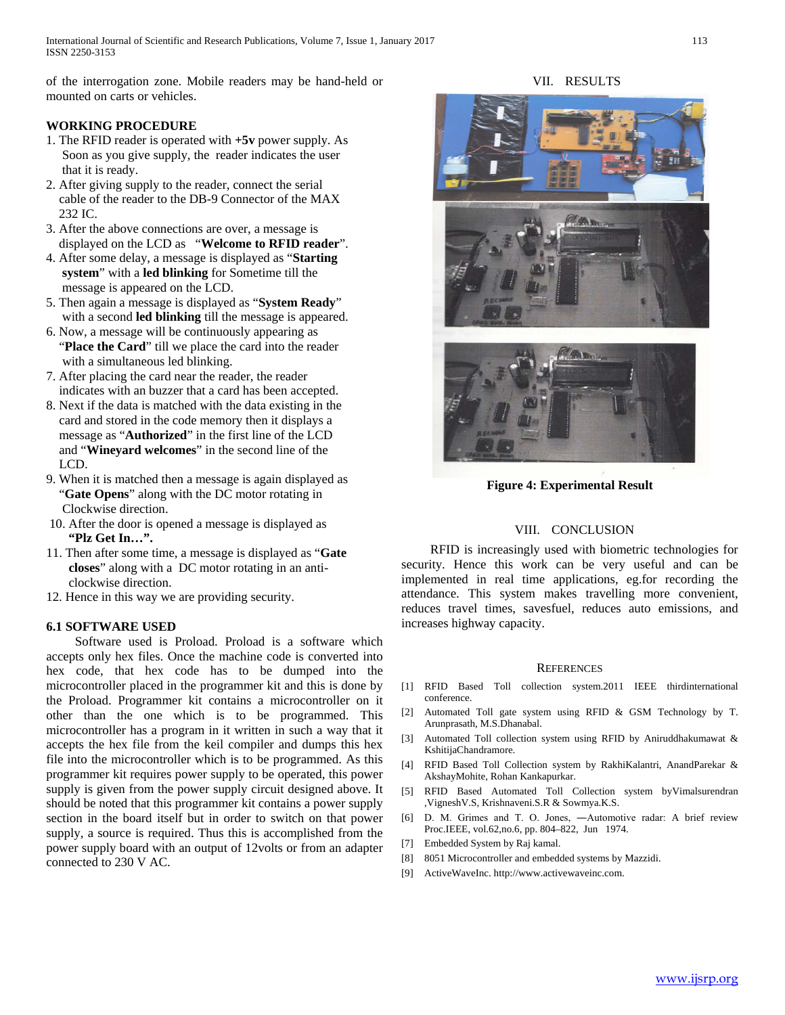International Journal of Scientific and Research Publications, Volume 7, Issue 1, January 2017 113 ISSN 2250-3153

of the interrogation zone. Mobile readers may be hand-held or mounted on carts or vehicles.

# **WORKING PROCEDURE**

- 1. The RFID reader is operated with **+5v** power supply. As Soon as you give supply, the reader indicates the user that it is ready.
- 2. After giving supply to the reader, connect the serial cable of the reader to the DB-9 Connector of the MAX 232 IC.
- 3. After the above connections are over, a message is displayed on the LCD as "**Welcome to RFID reader**".
- 4. After some delay, a message is displayed as "**Starting system**" with a **led blinking** for Sometime till the message is appeared on the LCD.
- 5. Then again a message is displayed as "**System Ready**" with a second **led blinking** till the message is appeared.
- 6. Now, a message will be continuously appearing as "**Place the Card**" till we place the card into the reader with a simultaneous led blinking.
- 7. After placing the card near the reader, the reader indicates with an buzzer that a card has been accepted.
- 8. Next if the data is matched with the data existing in the card and stored in the code memory then it displays a message as "**Authorized**" in the first line of the LCD and "**Wineyard welcomes**" in the second line of the LCD.
- 9. When it is matched then a message is again displayed as "**Gate Opens**" along with the DC motor rotating in Clockwise direction.
- 10. After the door is opened a message is displayed as **"Plz Get In…".**
- 11. Then after some time, a message is displayed as "**Gate closes**" along with a DC motor rotating in an anti clockwise direction.
- 12. Hence in this way we are providing security.

# **6.1 SOFTWARE USED**

 Software used is Proload. Proload is a software which accepts only hex files. Once the machine code is converted into hex code, that hex code has to be dumped into the microcontroller placed in the programmer kit and this is done by the Proload. Programmer kit contains a microcontroller on it other than the one which is to be programmed. This microcontroller has a program in it written in such a way that it accepts the hex file from the keil compiler and dumps this hex file into the microcontroller which is to be programmed. As this programmer kit requires power supply to be operated, this power supply is given from the power supply circuit designed above. It should be noted that this programmer kit contains a power supply section in the board itself but in order to switch on that power supply, a source is required. Thus this is accomplished from the power supply board with an output of 12volts or from an adapter connected to 230 V AC.

VII. RESULTS



**Figure 4: Experimental Result**

# VIII. CONCLUSION

 RFID is increasingly used with biometric technologies for security. Hence this work can be very useful and can be implemented in real time applications, eg.for recording the attendance. This system makes travelling more convenient, reduces travel times, savesfuel, reduces auto emissions, and increases highway capacity.

# **REFERENCES**

- [1] RFID Based Toll collection system.2011 IEEE thirdinternational conference.
- [2] Automated Toll gate system using RFID & GSM Technology by T. Arunprasath, M.S.Dhanabal.
- [3] Automated Toll collection system using RFID by Aniruddhakumawat & KshitijaChandramore.
- [4] RFID Based Toll Collection system by RakhiKalantri, AnandParekar & AkshayMohite, Rohan Kankapurkar.
- [5] RFID Based Automated Toll Collection system byVimalsurendran ,VigneshV.S, Krishnaveni.S.R & Sowmya.K.S.
- [6] D. M. Grimes and T. O. Jones, ―Automotive radar: A brief review Proc.IEEE, vol.62,no.6, pp. 804–822, Jun 1974.
- [7] Embedded System by Raj kamal.
- [8] 8051 Microcontroller and embedded systems by Mazzidi.
- [9] ActiveWaveInc. http://www.activewaveinc.com.